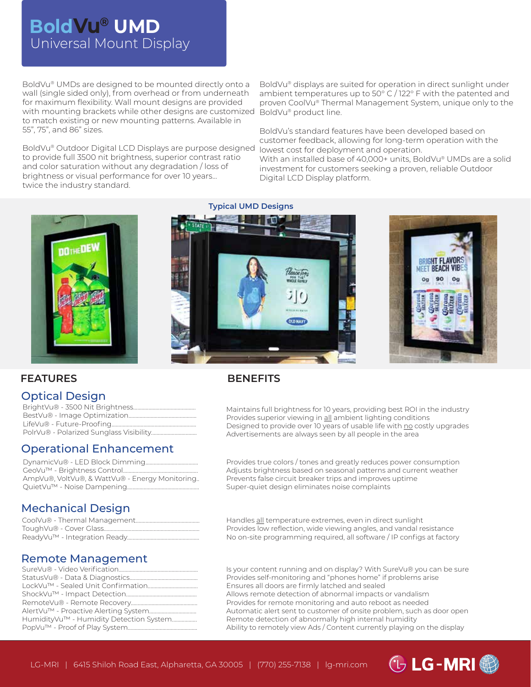# Universal Mount Display **BoldVu® UMD**

BoldVu® UMDs are designed to be mounted directly onto a wall (single sided only), from overhead or from underneath for maximum flexibility. Wall mount designs are provided with mounting brackets while other designs are customized BoldVu® product line. to match existing or new mounting patterns. Available in 55", 75", and 86" sizes.

BoldVu® Outdoor Digital LCD Displays are purpose designed to provide full 3500 nit brightness, superior contrast ratio and color saturation without any degradation / loss of brightness or visual performance for over 10 years... twice the industry standard.

BoldVu® displays are suited for operation in direct sunlight under ambient temperatures up to 50° C / 122° F with the patented and proven CoolVu® Thermal Management System, unique only to the

BoldVu's standard features have been developed based on customer feedback, allowing for long-term operation with the lowest cost for deployment and operation.

With an installed base of 40,000+ units, BoldVu® UMDs are a solid investment for customers seeking a proven, reliable Outdoor Digital LCD Display platform.



**Typical UMD Designs**





 $\bigcirc$  LG-MRI $\bigcirc$ 

#### **FEATURES**

#### Optical Design

### Operational Enhancement

| AmpVu®, VoltVu®, & WattVu® - Energy Monitoring |
|------------------------------------------------|
|                                                |

#### **BENEFITS**

Maintains full brightness for 10 years, providing best ROI in the industry Provides superior viewing in all ambient lighting conditions Designed to provide over 10 years of usable life with no costly upgrades Advertisements are always seen by all people in the area

Provides true colors / tones and greatly reduces power consumption Adjusts brightness based on seasonal patterns and current weather Prevents false circuit breaker trips and improves uptime Super-quiet design eliminates noise complaints

### Mechanical Design

#### Remote Management

| HumidityVu™ - Humidity Detection System |
|-----------------------------------------|
|                                         |
|                                         |

Handles all temperature extremes, even in direct sunlight Provides low reflection, wide viewing angles, and vandal resistance No on-site programming required, all software / IP configs at factory

Is your content running and on display? With SureVu® you can be sure Provides self-monitoring and "phones home" if problems arise Ensures all doors are firmly latched and sealed Allows remote detection of abnormal impacts or vandalism Provides for remote monitoring and auto reboot as needed Automatic alert sent to customer of onsite problem, such as door open Remote detection of abnormally high internal humidity Ability to remotely view Ads / Content currently playing on the display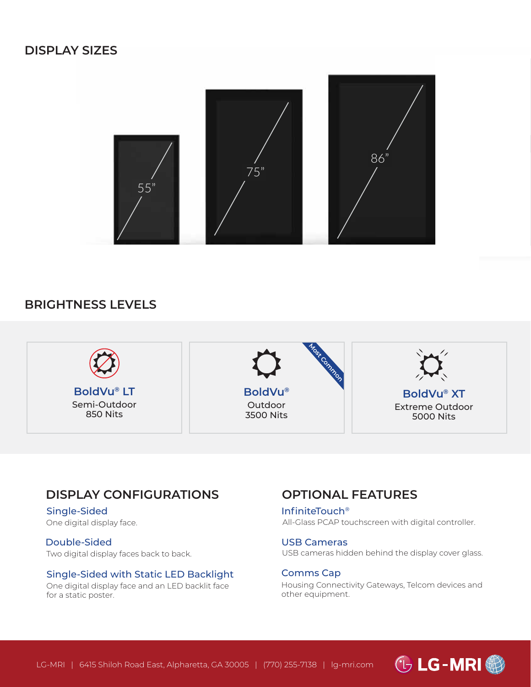

### **BRIGHTNESS LEVELS**



### **DISPLAY CONFIGURATIONS**

Single-Sided One digital display face.

Double-Sided Two digital display faces back to back.

#### Single-Sided with Static LED Backlight

One digital display face and an LED backlit face for a static poster.

### **OPTIONAL FEATURES**

InfiniteTouch® All-Glass PCAP touchscreen with digital controller.

USB Cameras USB cameras hidden behind the display cover glass.

Comms Cap Housing Connectivity Gateways, Telcom devices and other equipment.

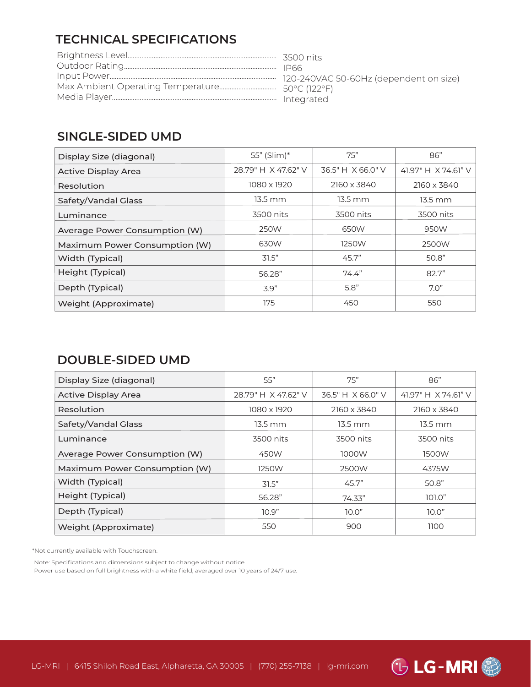# **TECHNICAL SPECIFICATIONS**

## **SINGLE-SIDED UMD**

| Display Size (diagonal)       | 55" (Slim)*         | 75"               | 86"                 |
|-------------------------------|---------------------|-------------------|---------------------|
| Active Display Area           | 28.79" H X 47.62" V | 36.5" H X 66.0" V | 41.97" H X 74.61" V |
| Resolution                    | 1080 x 1920         | 2160 x 3840       | 2160 x 3840         |
| Safety/Vandal Glass           | $13.5 \text{ mm}$   | $13.5 \text{ mm}$ | $13.5 \text{ mm}$   |
| Luminance                     | 3500 nits           | 3500 nits         | 3500 nits           |
| Average Power Consumption (W) | 250W                | 650W              | 950W                |
| Maximum Power Consumption (W) | 630W                | 1250W             | 2500W               |
| Width (Typical)               | 31.5"               | 45.7"             | 50.8"               |
| Height (Typical)              | 56.28"              | 74.4"             | 82.7"               |
| Depth (Typical)               | 3.9"                | 5.8"              | 7.0"                |
| Weight (Approximate)          | 175                 | 450               | 550                 |

### **DOUBLE-SIDED UMD**

| Display Size (diagonal)       | 55"                 | 75"               | 86"                   |
|-------------------------------|---------------------|-------------------|-----------------------|
| <b>Active Display Area</b>    | 28.79" H X 47.62" V | 36.5" H X 66.0" V | 41.97" H X 74.61" V   |
| Resolution                    | 1080 x 1920         | 2160 x 3840       | 2160 x 3840           |
| Safety/Vandal Glass           | $13.5 \text{ mm}$   | 13.5 mm           | $13.5 \, \mathrm{mm}$ |
| Luminance                     | 3500 nits           | 3500 nits         | 3500 nits             |
| Average Power Consumption (W) | 450W                | 1000W             | 1500W                 |
| Maximum Power Consumption (W) | 1250W               | 2500W             | 4375W                 |
| Width (Typical)               | 31.5"               | 45.7"             | 50.8"                 |
| Height (Typical)              | 56.28"              | 74.33"            | 101.0"                |
| Depth (Typical)               | 10.9"               | 10.0"             | 10.0"                 |
| Weight (Approximate)          | 550                 | 900               | 1100                  |

\*Not currently available with Touchscreen.

Note: Specifications and dimensions subject to change without notice. Power use based on full brightness with a white field, averaged over 10 years of 24/7 use.